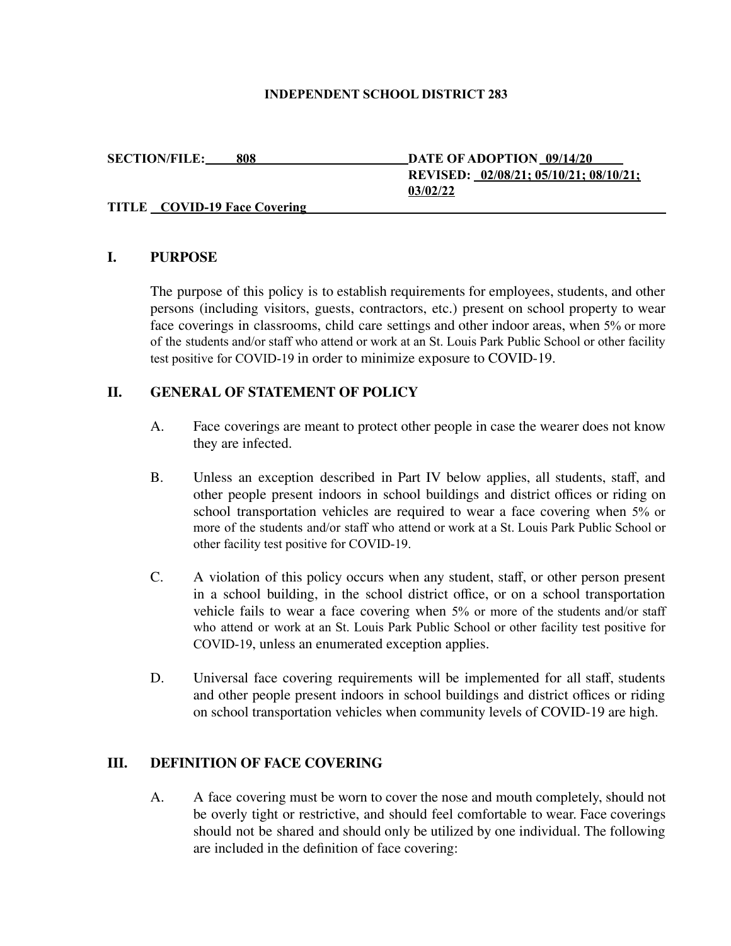#### **INDEPENDENT SCHOOL DISTRICT 283**

**SECTION/FILE: 808 DATE OF ADOPTION 09/14/20 REVISED: 02/08/21; 05/10/21; 08/10/21; 03/02/22**

### **TITLE COVID-19 Face Covering**

### **I. PURPOSE**

The purpose of this policy is to establish requirements for employees, students, and other persons (including visitors, guests, contractors, etc.) present on school property to wear face coverings in classrooms, child care settings and other indoor areas, when 5% or more of the students and/or staff who attend or work at an St. Louis Park Public School or other facility test positive for COVID-19 in order to minimize exposure to COVID-19.

### **II. GENERAL OF STATEMENT OF POLICY**

- A. Face coverings are meant to protect other people in case the wearer does not know they are infected.
- B. Unless an exception described in Part IV below applies, all students, staff, and other people present indoors in school buildings and district offices or riding on school transportation vehicles are required to wear a face covering when 5% or more of the students and/or staff who attend or work at a St. Louis Park Public School or other facility test positive for COVID-19.
- C. A violation of this policy occurs when any student, staff, or other person present in a school building, in the school district office, or on a school transportation vehicle fails to wear a face covering when 5% or more of the students and/or staff who attend or work at an St. Louis Park Public School or other facility test positive for COVID-19, unless an enumerated exception applies.
- D. Universal face covering requirements will be implemented for all staff, students and other people present indoors in school buildings and district offices or riding on school transportation vehicles when community levels of COVID-19 are high.

### **III. DEFINITION OF FACE COVERING**

A. A face covering must be worn to cover the nose and mouth completely, should not be overly tight or restrictive, and should feel comfortable to wear. Face coverings should not be shared and should only be utilized by one individual. The following are included in the definition of face covering: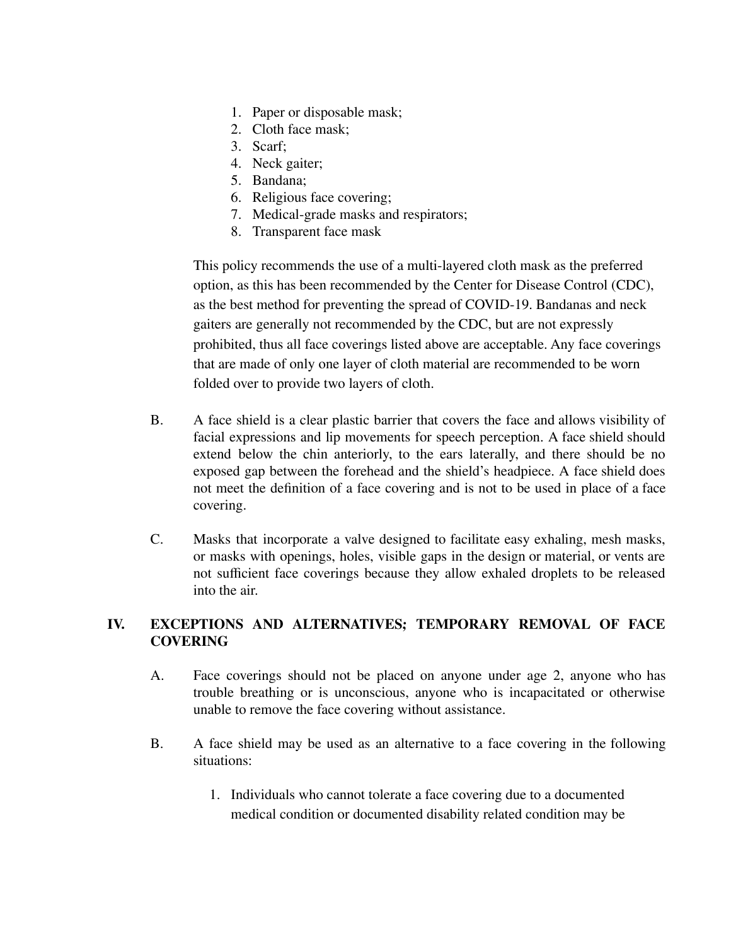- 1. Paper or disposable mask;
- 2. Cloth face mask;
- 3. Scarf;
- 4. Neck gaiter;
- 5. Bandana;
- 6. Religious face covering;
- 7. Medical-grade masks and respirators;
- 8. Transparent face mask

This policy recommends the use of a multi-layered cloth mask as the preferred option, as this has been recommended by the Center for Disease Control (CDC), as the best method for preventing the spread of COVID-19. Bandanas and neck gaiters are generally not recommended by the CDC, but are not expressly prohibited, thus all face coverings listed above are acceptable. Any face coverings that are made of only one layer of cloth material are recommended to be worn folded over to provide two layers of cloth.

- B. A face shield is a clear plastic barrier that covers the face and allows visibility of facial expressions and lip movements for speech perception. A face shield should extend below the chin anteriorly, to the ears laterally, and there should be no exposed gap between the forehead and the shield's headpiece. A face shield does not meet the definition of a face covering and is not to be used in place of a face covering.
- C. Masks that incorporate a valve designed to facilitate easy exhaling, mesh masks, or masks with openings, holes, visible gaps in the design or material, or vents are not sufficient face coverings because they allow exhaled droplets to be released into the air.

# **IV. EXCEPTIONS AND ALTERNATIVES; TEMPORARY REMOVAL OF FACE COVERING**

- A. Face coverings should not be placed on anyone under age 2, anyone who has trouble breathing or is unconscious, anyone who is incapacitated or otherwise unable to remove the face covering without assistance.
- B. A face shield may be used as an alternative to a face covering in the following situations:
	- 1. Individuals who cannot tolerate a face covering due to a documented medical condition or documented disability related condition may be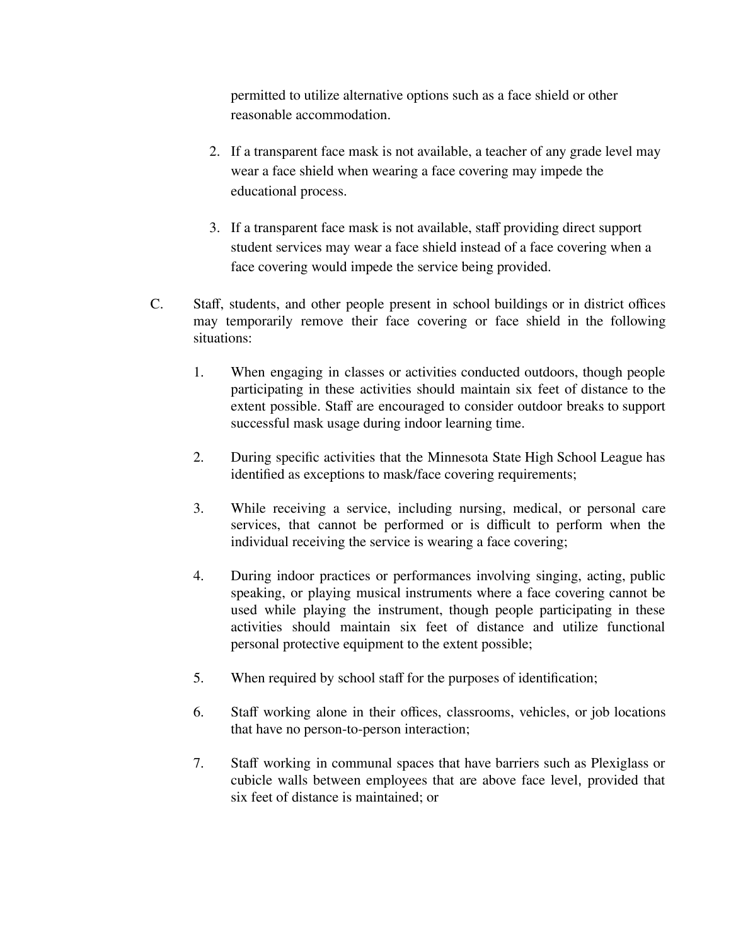permitted to utilize alternative options such as a face shield or other reasonable accommodation.

- 2. If a transparent face mask is not available, a teacher of any grade level may wear a face shield when wearing a face covering may impede the educational process.
- 3. If a transparent face mask is not available, staff providing direct support student services may wear a face shield instead of a face covering when a face covering would impede the service being provided.
- C. Staff, students, and other people present in school buildings or in district offices may temporarily remove their face covering or face shield in the following situations:
	- 1. When engaging in classes or activities conducted outdoors, though people participating in these activities should maintain six feet of distance to the extent possible. Staff are encouraged to consider outdoor breaks to support successful mask usage during indoor learning time.
	- 2. During specific activities that the Minnesota State High School League has identified as exceptions to mask/face covering requirements;
	- 3. While receiving a service, including nursing, medical, or personal care services, that cannot be performed or is difficult to perform when the individual receiving the service is wearing a face covering;
	- 4. During indoor practices or performances involving singing, acting, public speaking, or playing musical instruments where a face covering cannot be used while playing the instrument, though people participating in these activities should maintain six feet of distance and utilize functional personal protective equipment to the extent possible;
	- 5. When required by school staff for the purposes of identification;
	- 6. Staff working alone in their offices, classrooms, vehicles, or job locations that have no person-to-person interaction;
	- 7. Staff working in communal spaces that have barriers such as Plexiglass or cubicle walls between employees that are above face level, provided that six feet of distance is maintained; or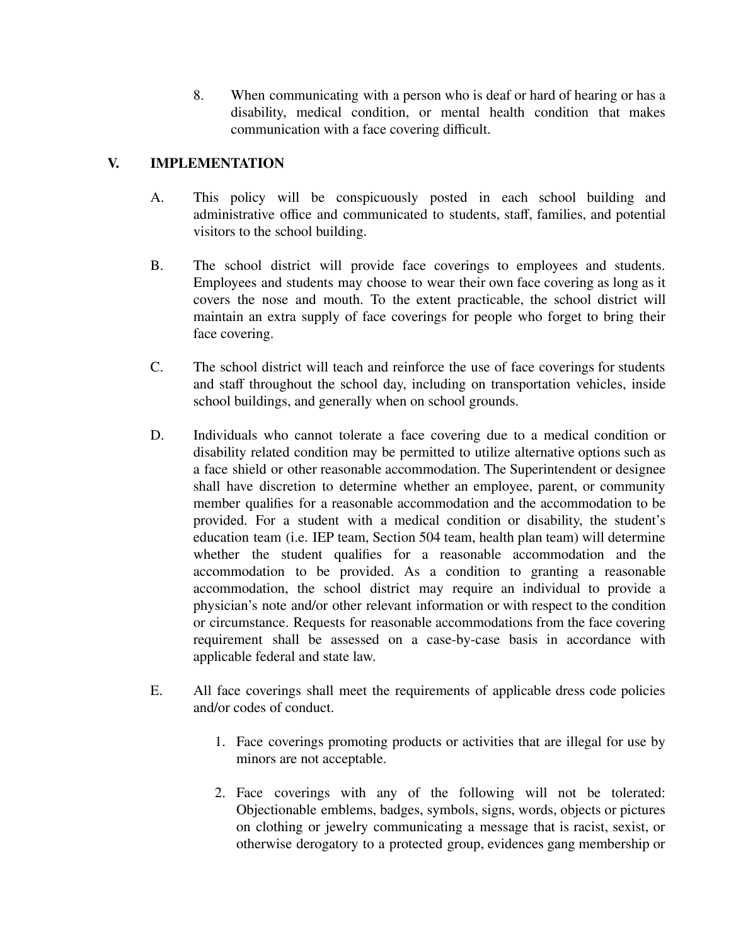8. When communicating with a person who is deaf or hard of hearing or has a disability, medical condition, or mental health condition that makes communication with a face covering difficult.

# **V. IMPLEMENTATION**

- A. This policy will be conspicuously posted in each school building and administrative office and communicated to students, staff, families, and potential visitors to the school building.
- B. The school district will provide face coverings to employees and students. Employees and students may choose to wear their own face covering as long as it covers the nose and mouth. To the extent practicable, the school district will maintain an extra supply of face coverings for people who forget to bring their face covering.
- C. The school district will teach and reinforce the use of face coverings for students and staff throughout the school day, including on transportation vehicles, inside school buildings, and generally when on school grounds.
- D. Individuals who cannot tolerate a face covering due to a medical condition or disability related condition may be permitted to utilize alternative options such as a face shield or other reasonable accommodation. The Superintendent or designee shall have discretion to determine whether an employee, parent, or community member qualifies for a reasonable accommodation and the accommodation to be provided. For a student with a medical condition or disability, the student's education team (i.e. IEP team, Section 504 team, health plan team) will determine whether the student qualifies for a reasonable accommodation and the accommodation to be provided. As a condition to granting a reasonable accommodation, the school district may require an individual to provide a physician's note and/or other relevant information or with respect to the condition or circumstance. Requests for reasonable accommodations from the face covering requirement shall be assessed on a case-by-case basis in accordance with applicable federal and state law.
- E. All face coverings shall meet the requirements of applicable dress code policies and/or codes of conduct.
	- 1. Face coverings promoting products or activities that are illegal for use by minors are not acceptable.
	- 2. Face coverings with any of the following will not be tolerated: Objectionable emblems, badges, symbols, signs, words, objects or pictures on clothing or jewelry communicating a message that is racist, sexist, or otherwise derogatory to a protected group, evidences gang membership or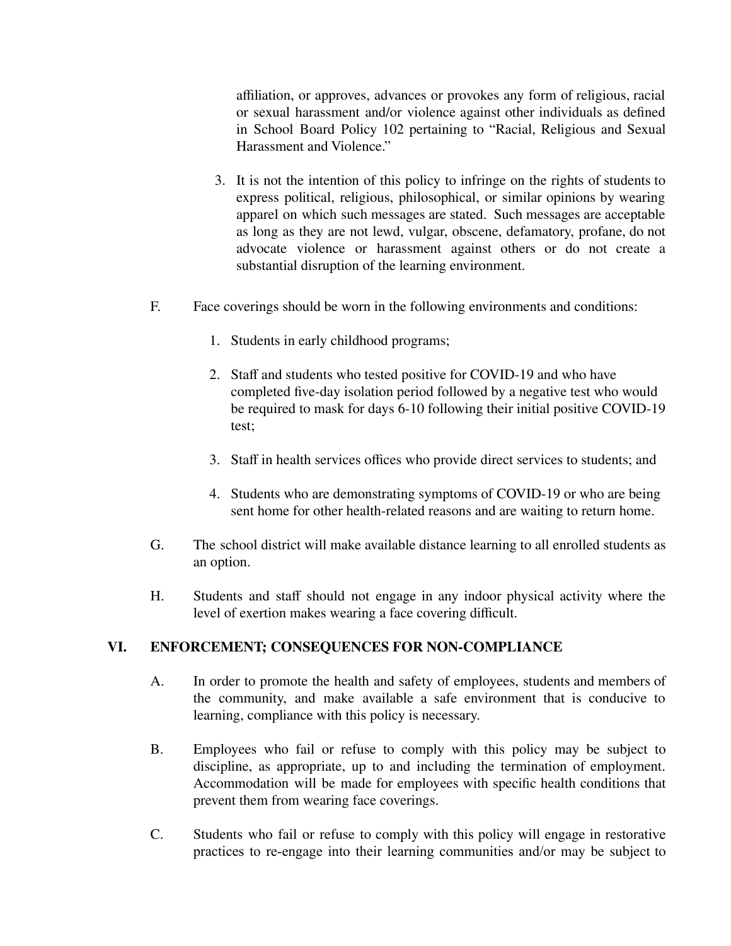affiliation, or approves, advances or provokes any form of religious, racial or sexual harassment and/or violence against other individuals as defined in School Board Policy 102 pertaining to "Racial, Religious and Sexual Harassment and Violence."

- 3. It is not the intention of this policy to infringe on the rights of students to express political, religious, philosophical, or similar opinions by wearing apparel on which such messages are stated. Such messages are acceptable as long as they are not lewd, vulgar, obscene, defamatory, profane, do not advocate violence or harassment against others or do not create a substantial disruption of the learning environment.
- F. Face coverings should be worn in the following environments and conditions:
	- 1. Students in early childhood programs;
	- 2. Staff and students who tested positive for COVID-19 and who have completed five-day isolation period followed by a negative test who would be required to mask for days 6-10 following their initial positive COVID-19 test;
	- 3. Staff in health services offices who provide direct services to students; and
	- 4. Students who are demonstrating symptoms of COVID-19 or who are being sent home for other health-related reasons and are waiting to return home.
- G. The school district will make available distance learning to all enrolled students as an option.
- H. Students and staff should not engage in any indoor physical activity where the level of exertion makes wearing a face covering difficult.

# **VI. ENFORCEMENT; CONSEQUENCES FOR NON-COMPLIANCE**

- A. In order to promote the health and safety of employees, students and members of the community, and make available a safe environment that is conducive to learning, compliance with this policy is necessary.
- B. Employees who fail or refuse to comply with this policy may be subject to discipline, as appropriate, up to and including the termination of employment. Accommodation will be made for employees with specific health conditions that prevent them from wearing face coverings.
- C. Students who fail or refuse to comply with this policy will engage in restorative practices to re-engage into their learning communities and/or may be subject to